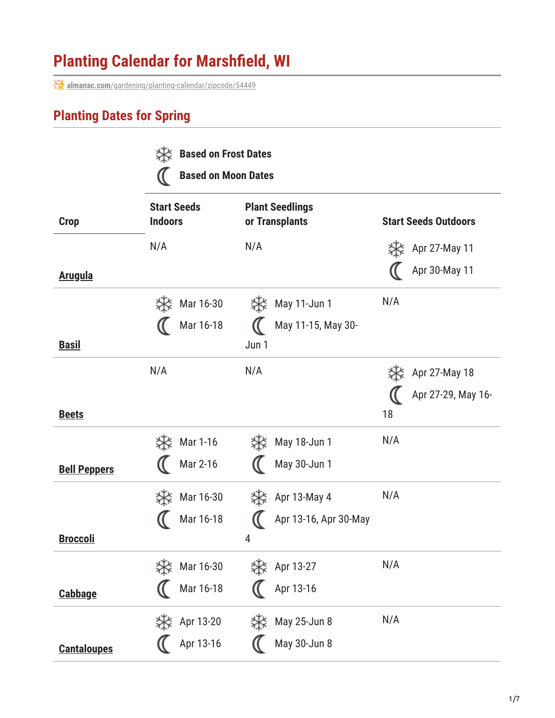## **Planting Calendar for Marshfield, WI**

**almanac.com**[/gardening/planting-calendar/zipcode/54449](https://www.almanac.com/gardening/planting-calendar/zipcode/54449)

### **Planting Dates for Spring**

|                     | <b>Based on Frost Dates</b><br><b>Based on Moon Dates</b> |                                          |                             |  |  |
|---------------------|-----------------------------------------------------------|------------------------------------------|-----------------------------|--|--|
| <b>Crop</b>         | <b>Start Seeds</b><br><b>Indoors</b>                      | <b>Plant Seedlings</b><br>or Transplants | <b>Start Seeds Outdoors</b> |  |  |
|                     | N/A                                                       | N/A                                      | Apr 27-May 11               |  |  |
| <u>Arugula</u>      |                                                           |                                          | Apr 30-May 11               |  |  |
|                     | Mar 16-30                                                 | 淼<br>May 11-Jun 1                        | N/A                         |  |  |
| <b>Basil</b>        | Mar 16-18                                                 | May 11-15, May 30-<br>Jun 1              |                             |  |  |
|                     | N/A                                                       | N/A                                      | Apr 27-May 18               |  |  |
|                     |                                                           |                                          | Apr 27-29, May 16-          |  |  |
| <b>Beets</b>        |                                                           |                                          | 18                          |  |  |
|                     | Mar 1-16                                                  | May 18-Jun 1<br>涁                        | N/A                         |  |  |
| <b>Bell Peppers</b> | Mar 2-16                                                  | May 30-Jun 1                             |                             |  |  |
|                     | Mar 16-30                                                 | 涁<br>Apr 13-May 4                        | N/A                         |  |  |
|                     | Mar 16-18                                                 | Apr 13-16, Apr 30-May                    |                             |  |  |
| <b>Broccoli</b>     |                                                           | 4                                        |                             |  |  |
|                     | Mar 16-30<br>涁                                            | <b>类</b> Apr 13-27                       | N/A                         |  |  |
| <b>Cabbage</b>      | Mar 16-18                                                 | Apr 13-16                                |                             |  |  |
|                     | Apr 13-20<br>柒                                            | May 25-Jun 8                             | N/A                         |  |  |
| <b>Cantaloupes</b>  | Apr 13-16                                                 | May 30-Jun 8                             |                             |  |  |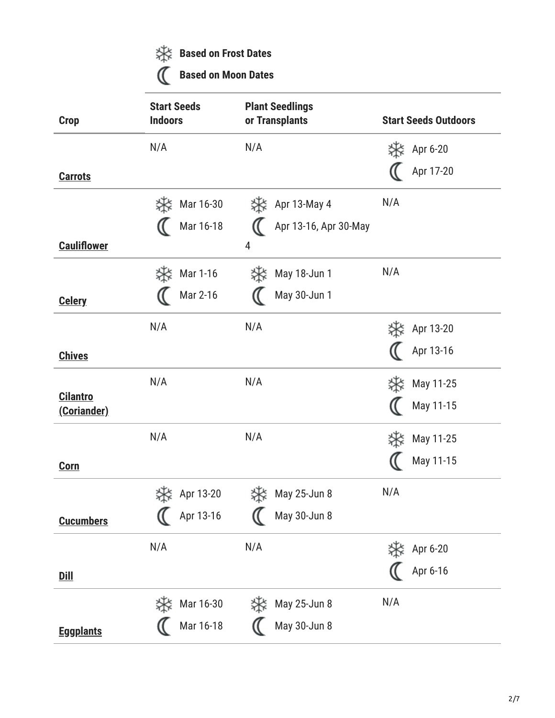### **Based on Moon Dates**

| <b>Crop</b>                    | <b>Start Seeds</b><br><b>Indoors</b> | <b>Plant Seedlings</b><br>or Transplants | <b>Start Seeds Outdoors</b> |
|--------------------------------|--------------------------------------|------------------------------------------|-----------------------------|
|                                | N/A                                  | N/A                                      | Apr 6-20                    |
| <b>Carrots</b>                 |                                      |                                          | Apr 17-20                   |
|                                | Mar 16-30<br>涁                       | Apr 13-May 4<br>涁                        | N/A                         |
|                                | Mar 16-18                            | Apr 13-16, Apr 30-May                    |                             |
| <b>Cauliflower</b>             |                                      | 4                                        |                             |
|                                | Mar 1-16<br>涁                        | May 18-Jun 1<br>苶                        | N/A                         |
| <b>Celery</b>                  | Mar 2-16                             | May 30-Jun 1                             |                             |
|                                | N/A                                  | N/A                                      | 涁<br>Apr 13-20              |
| <b>Chives</b>                  |                                      |                                          | Apr 13-16                   |
|                                | N/A                                  | N/A                                      | 涁<br>May 11-25              |
| <b>Cilantro</b><br>(Coriander) |                                      |                                          | May 11-15                   |
|                                | N/A                                  | N/A                                      | 涁<br>May 11-25              |
| <b>Corn</b>                    |                                      |                                          | May 11-15                   |
|                                | 楽 Apr 13-20                          | ӝ<br>May 25-Jun 8                        | N/A                         |
| <b>Cucumbers</b>               | Apr 13-16                            | May 30-Jun 8                             |                             |
|                                | N/A                                  | N/A                                      | Apr 6-20<br>涁               |
| <u>Dill</u>                    |                                      |                                          | Apr 6-16                    |
|                                | Mar 16-30                            | May 25-Jun 8<br>苶                        | N/A                         |
| <b>Eggplants</b>               | Mar 16-18                            | May 30-Jun 8                             |                             |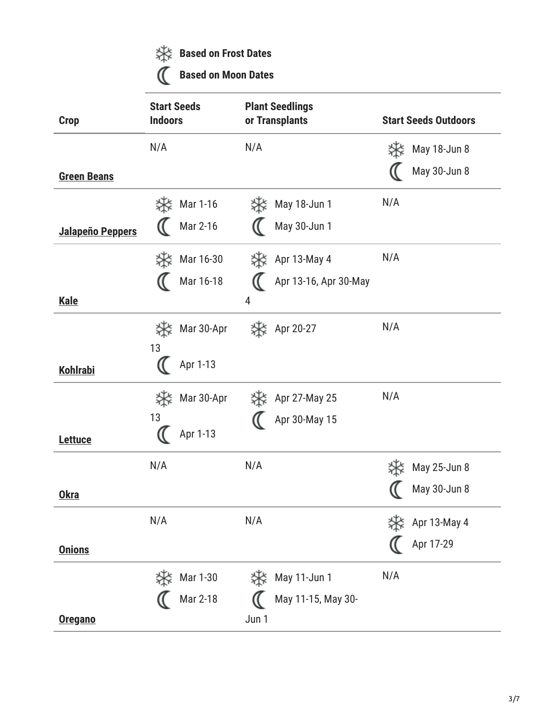#### **Based on Moon Dates**

| <b>Crop</b>        | <b>Start Seeds</b><br><b>Indoors</b> |            |       | <b>Plant Seedlings</b><br>or Transplants |     | <b>Start Seeds Outdoors</b> |
|--------------------|--------------------------------------|------------|-------|------------------------------------------|-----|-----------------------------|
|                    | N/A                                  |            | N/A   |                                          |     | May 18-Jun 8                |
| <b>Green Beans</b> |                                      |            |       |                                          |     | May 30-Jun 8                |
|                    | 涁                                    | Mar 1-16   | 涁     | May 18-Jun 1                             | N/A |                             |
| Jalapeño Peppers   |                                      | Mar 2-16   |       | May 30-Jun 1                             |     |                             |
|                    | 涁                                    | Mar 16-30  | 涁     | Apr 13-May 4                             | N/A |                             |
|                    |                                      | Mar 16-18  | 4     | Apr 13-16, Apr 30-May                    |     |                             |
| <b>Kale</b>        |                                      |            |       |                                          |     |                             |
|                    | 柒                                    | Mar 30-Apr | 涁     | Apr 20-27                                | N/A |                             |
| <b>Kohlrabi</b>    | 13                                   | Apr 1-13   |       |                                          |     |                             |
|                    |                                      | Mar 30-Apr |       | Apr 27-May 25                            | N/A |                             |
|                    | 13                                   |            |       | Apr 30-May 15                            |     |                             |
| <b>Lettuce</b>     |                                      | Apr 1-13   |       |                                          |     |                             |
|                    | N/A                                  |            | N/A   |                                          |     | May 25-Jun 8                |
| <b>Okra</b>        |                                      |            |       |                                          |     | May 30-Jun 8                |
|                    | N/A                                  |            | N/A   |                                          |     | Apr 13-May 4                |
| <b>Onions</b>      |                                      |            |       |                                          |     | Apr 17-29                   |
|                    |                                      | Mar 1-30   |       | May 11-Jun 1                             | N/A |                             |
|                    |                                      | Mar 2-18   |       | May 11-15, May 30-                       |     |                             |
| <b>Oregano</b>     |                                      |            | Jun 1 |                                          |     |                             |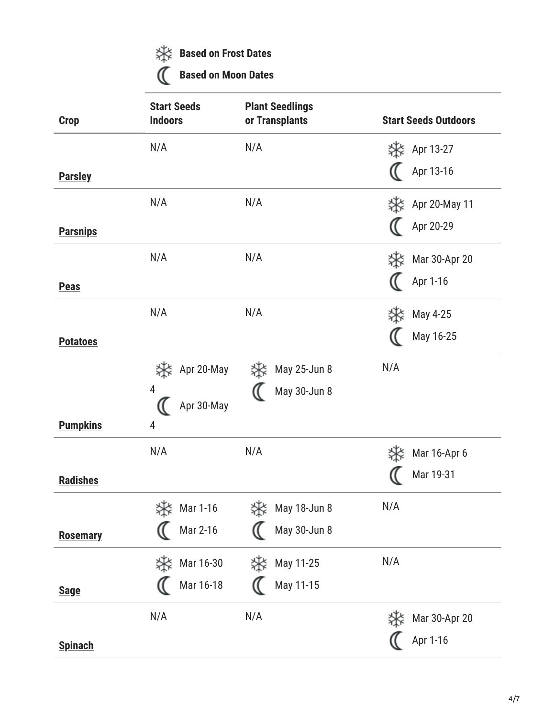**Based on Moon Dates**

| <b>Crop</b>     | <b>Start Seeds</b><br><b>Indoors</b> | <b>Plant Seedlings</b><br>or Transplants | <b>Start Seeds Outdoors</b> |
|-----------------|--------------------------------------|------------------------------------------|-----------------------------|
|                 | N/A                                  | N/A                                      | Apr 13-27                   |
| <b>Parsley</b>  |                                      |                                          | Apr 13-16                   |
|                 | N/A                                  | N/A                                      | Apr 20-May 11               |
| <b>Parsnips</b> |                                      |                                          | Apr 20-29                   |
|                 | N/A                                  | N/A                                      | Mar 30-Apr 20               |
| <b>Peas</b>     |                                      |                                          | Apr 1-16                    |
|                 | N/A                                  | N/A                                      | May 4-25                    |
| <b>Potatoes</b> |                                      |                                          | May 16-25                   |
|                 | Apr 20-May<br>苶                      | May 25-Jun 8<br>涨                        | N/A                         |
|                 | 4<br>Apr 30-May<br>$\mathcal{U}$     | May 30-Jun 8                             |                             |
| <b>Pumpkins</b> | 4                                    |                                          |                             |
|                 | N/A                                  | N/A                                      | Mar 16-Apr 6                |
| <b>Radishes</b> |                                      |                                          | Mar 19-31                   |
|                 | ఘ<br>Mar 1-16                        | 渁<br>May 18-Jun 8                        | N/A                         |
| <b>Rosemary</b> | Mar 2-16                             | May 30-Jun 8                             |                             |
|                 | Mar 16-30<br>涁                       | 渁<br>May 11-25                           | N/A                         |
| <b>Sage</b>     | Mar 16-18                            | May 11-15                                |                             |
|                 | N/A                                  | N/A                                      | Mar 30-Apr 20<br>挆          |
| <b>Spinach</b>  |                                      |                                          | Apr 1-16                    |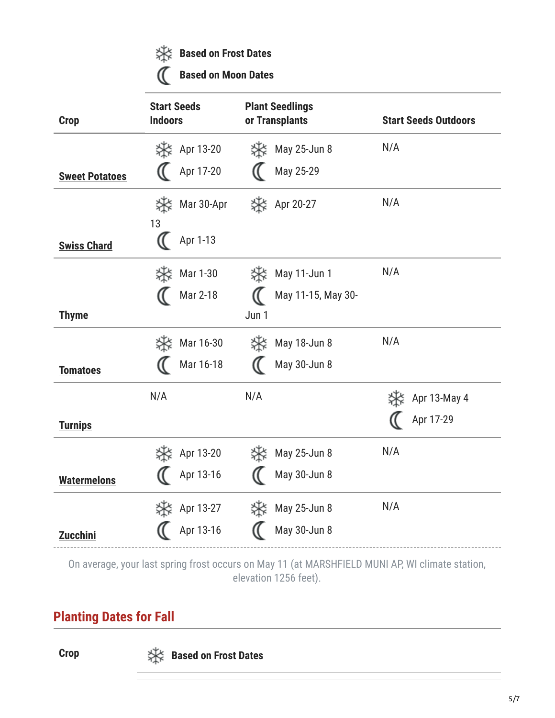#### $\overline{(\mathbb{C}\mathbb{C})}$  **Based on Moon Dates**

| <b>Crop</b>           | <b>Start Seeds</b><br><b>Indoors</b> | <b>Plant Seedlings</b><br>or Transplants | <b>Start Seeds Outdoors</b> |
|-----------------------|--------------------------------------|------------------------------------------|-----------------------------|
|                       | <b>类</b> Apr 13-20                   | May 25-Jun 8<br>涁                        | N/A                         |
| <b>Sweet Potatoes</b> | Apr 17-20                            | May 25-29                                |                             |
|                       | 柒<br>Mar 30-Apr                      | 类 Apr 20-27                              | N/A                         |
| <b>Swiss Chard</b>    | 13<br>Apr 1-13                       |                                          |                             |
|                       | 涁<br>Mar 1-30                        | 涁<br>May 11-Jun 1                        | N/A                         |
|                       | Mar 2-18                             | May 11-15, May 30-                       |                             |
| <b>Thyme</b>          |                                      | Jun 1                                    |                             |
|                       | 柒<br>Mar 16-30                       | May 18-Jun 8<br>涁                        | N/A                         |
| <b>Tomatoes</b>       | Mar 16-18                            | May 30-Jun 8                             |                             |
|                       | N/A                                  | N/A                                      | Apr 13-May 4                |
| <b>Turnips</b>        |                                      |                                          | Apr 17-29                   |
|                       | <b>类</b> Apr 13-20                   | 涁<br>May 25-Jun 8                        | N/A                         |
| <b>Watermelons</b>    | Apr 13-16                            | May 30-Jun 8                             |                             |
|                       | Apr 13-27                            | May 25-Jun 8<br>苶                        | N/A                         |
| <b>Zucchini</b>       | Apr 13-16                            | May 30-Jun 8                             |                             |

On average, your last spring frost occurs on May 11 (at MARSHFIELD MUNI AP, WI climate station, elevation 1256 feet).

### **Planting Dates for Fall**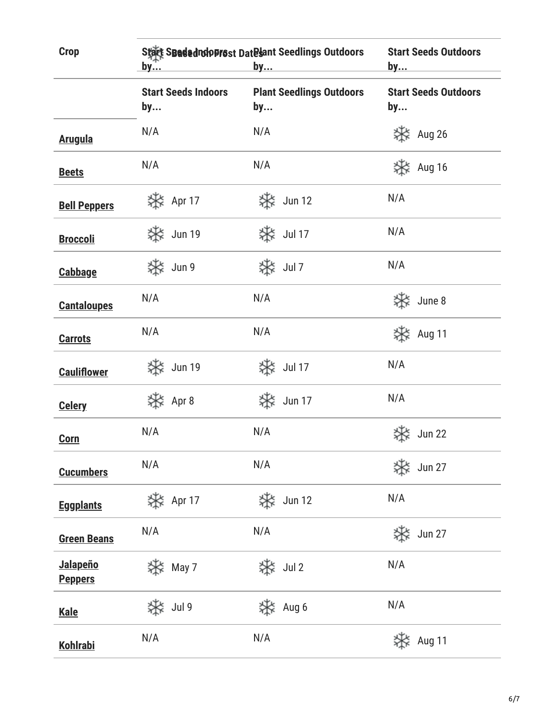| <b>Crop</b>                       | <b>Start Spededrolo Prost Datesant Seedlings Outdoors</b><br><u>by</u><br><u>by</u> |                                       | <b>Start Seeds Outdoors</b><br><u>by</u> |  |
|-----------------------------------|-------------------------------------------------------------------------------------|---------------------------------------|------------------------------------------|--|
|                                   | <b>Start Seeds Indoors</b><br>by                                                    | <b>Plant Seedlings Outdoors</b><br>by | <b>Start Seeds Outdoors</b><br>by        |  |
| <b>Arugula</b>                    | N/A                                                                                 | N/A                                   | 楽 Aug 26                                 |  |
| <b>Beets</b>                      | N/A                                                                                 | N/A                                   | 楽 Aug 16                                 |  |
| <b>Bell Peppers</b>               | 楽 Apr 17                                                                            | ☆ Jun 12                              | N/A                                      |  |
| <b>Broccoli</b>                   | S <sup>3</sup> Jun 19                                                               | 楽 Jul 17                              | N/A                                      |  |
| <b>Cabbage</b>                    | 楽 Jun 9                                                                             | 楽 Jul 7                               | N/A                                      |  |
| <b>Cantaloupes</b>                | N/A                                                                                 | N/A                                   | 楽 June 8                                 |  |
| <b>Carrots</b>                    | N/A                                                                                 | N/A                                   | 涁<br>Aug 11                              |  |
| <b>Cauliflower</b>                | 涨<br><b>Jun 19</b>                                                                  | 楽 Jul 17                              | N/A                                      |  |
| <b>Celery</b>                     | 楽 Apr 8                                                                             | ӝ<br>Jun 17                           | N/A                                      |  |
| <b>Corn</b>                       | N/A                                                                                 | N/A                                   | <b>Jun 22</b>                            |  |
| <b>Cucumbers</b>                  | N/A                                                                                 | N/A                                   | S <sup>3</sup> Jun 27                    |  |
| <b>Eggplants</b>                  | 楽 Apr 17                                                                            | 涨<br><b>Jun 12</b>                    | N/A                                      |  |
| <b>Green Beans</b>                | N/A                                                                                 | N/A                                   | ※<br><b>Jun 27</b>                       |  |
| <b>Jalapeño</b><br><b>Peppers</b> | 渁<br>May 7                                                                          | 楽 Jul 2                               | N/A                                      |  |
| <b>Kale</b>                       | 渁<br>Jul 9                                                                          | 涨<br>Aug 6                            | N/A                                      |  |
| <b>Kohlrabi</b>                   | N/A                                                                                 | N/A                                   | 涨<br>Aug 11                              |  |